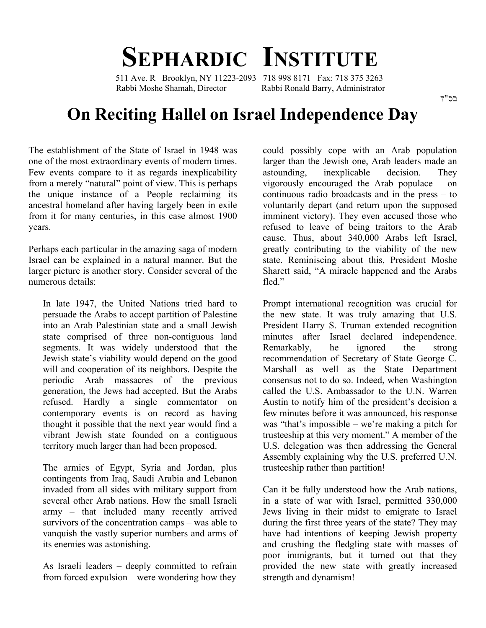## **SEPHARDIC INSTITUTE**

 511 Ave. R Brooklyn, NY 11223-2093 718 998 8171 Fax: 718 375 3263 Rabbi Moshe Shamah, Director Rabbi Ronald Barry, Administrator

## **On Reciting Hallel on Israel Independence Day**

The establishment of the State of Israel in 1948 was one of the most extraordinary events of modern times. Few events compare to it as regards inexplicability from a merely "natural" point of view. This is perhaps the unique instance of a People reclaiming its ancestral homeland after having largely been in exile from it for many centuries, in this case almost 1900 years.

Perhaps each particular in the amazing saga of modern Israel can be explained in a natural manner. But the larger picture is another story. Consider several of the numerous details:

In late 1947, the United Nations tried hard to persuade the Arabs to accept partition of Palestine into an Arab Palestinian state and a small Jewish state comprised of three non-contiguous land segments. It was widely understood that the Jewish state's viability would depend on the good will and cooperation of its neighbors. Despite the periodic Arab massacres of the previous generation, the Jews had accepted. But the Arabs refused. Hardly a single commentator on contemporary events is on record as having thought it possible that the next year would find a vibrant Jewish state founded on a contiguous territory much larger than had been proposed.

The armies of Egypt, Syria and Jordan, plus contingents from Iraq, Saudi Arabia and Lebanon invaded from all sides with military support from several other Arab nations. How the small Israeli army – that included many recently arrived survivors of the concentration camps – was able to vanquish the vastly superior numbers and arms of its enemies was astonishing.

As Israeli leaders – deeply committed to refrain from forced expulsion – were wondering how they could possibly cope with an Arab population larger than the Jewish one, Arab leaders made an astounding, inexplicable decision. They vigorously encouraged the Arab populace – on continuous radio broadcasts and in the press – to voluntarily depart (and return upon the supposed imminent victory). They even accused those who refused to leave of being traitors to the Arab cause. Thus, about 340,000 Arabs left Israel, greatly contributing to the viability of the new state. Reminiscing about this, President Moshe Sharett said, "A miracle happened and the Arabs fled."

Prompt international recognition was crucial for the new state. It was truly amazing that U.S. President Harry S. Truman extended recognition minutes after Israel declared independence. Remarkably, he ignored the strong recommendation of Secretary of State George C. Marshall as well as the State Department consensus not to do so. Indeed, when Washington called the U.S. Ambassador to the U.N. Warren Austin to notify him of the president's decision a few minutes before it was announced, his response was "that's impossible – we're making a pitch for trusteeship at this very moment." A member of the U.S. delegation was then addressing the General Assembly explaining why the U.S. preferred U.N. trusteeship rather than partition!

Can it be fully understood how the Arab nations, in a state of war with Israel, permitted 330,000 Jews living in their midst to emigrate to Israel during the first three years of the state? They may have had intentions of keeping Jewish property and crushing the fledgling state with masses of poor immigrants, but it turned out that they provided the new state with greatly increased strength and dynamism!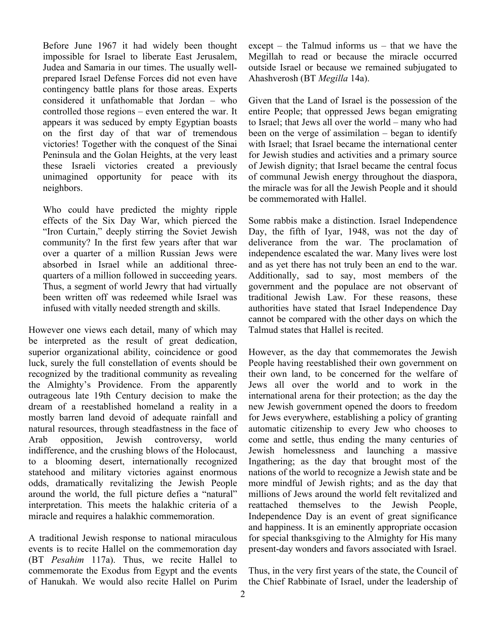Before June 1967 it had widely been thought impossible for Israel to liberate East Jerusalem, Judea and Samaria in our times. The usually wellprepared Israel Defense Forces did not even have contingency battle plans for those areas. Experts considered it unfathomable that Jordan – who controlled those regions – even entered the war. It appears it was seduced by empty Egyptian boasts on the first day of that war of tremendous victories! Together with the conquest of the Sinai Peninsula and the Golan Heights, at the very least these Israeli victories created a previously unimagined opportunity for peace with its neighbors.

Who could have predicted the mighty ripple effects of the Six Day War, which pierced the "Iron Curtain," deeply stirring the Soviet Jewish community? In the first few years after that war over a quarter of a million Russian Jews were absorbed in Israel while an additional threequarters of a million followed in succeeding years. Thus, a segment of world Jewry that had virtually been written off was redeemed while Israel was infused with vitally needed strength and skills.

However one views each detail, many of which may be interpreted as the result of great dedication, superior organizational ability, coincidence or good luck, surely the full constellation of events should be recognized by the traditional community as revealing the Almighty's Providence. From the apparently outrageous late 19th Century decision to make the dream of a reestablished homeland a reality in a mostly barren land devoid of adequate rainfall and natural resources, through steadfastness in the face of Arab opposition, Jewish controversy, world indifference, and the crushing blows of the Holocaust, to a blooming desert, internationally recognized statehood and military victories against enormous odds, dramatically revitalizing the Jewish People around the world, the full picture defies a "natural" interpretation. This meets the halakhic criteria of a miracle and requires a halakhic commemoration.

A traditional Jewish response to national miraculous events is to recite Hallel on the commemoration day (BT *Pesahim* 117a). Thus, we recite Hallel to commemorate the Exodus from Egypt and the events of Hanukah. We would also recite Hallel on Purim except – the Talmud informs us – that we have the Megillah to read or because the miracle occurred outside Israel or because we remained subjugated to Ahashverosh (BT *Megilla* 14a).

Given that the Land of Israel is the possession of the entire People; that oppressed Jews began emigrating to Israel; that Jews all over the world – many who had been on the verge of assimilation – began to identify with Israel; that Israel became the international center for Jewish studies and activities and a primary source of Jewish dignity; that Israel became the central focus of communal Jewish energy throughout the diaspora, the miracle was for all the Jewish People and it should be commemorated with Hallel.

Some rabbis make a distinction. Israel Independence Day, the fifth of Iyar, 1948, was not the day of deliverance from the war. The proclamation of independence escalated the war. Many lives were lost and as yet there has not truly been an end to the war. Additionally, sad to say, most members of the government and the populace are not observant of traditional Jewish Law. For these reasons, these authorities have stated that Israel Independence Day cannot be compared with the other days on which the Talmud states that Hallel is recited.

However, as the day that commemorates the Jewish People having reestablished their own government on their own land, to be concerned for the welfare of Jews all over the world and to work in the international arena for their protection; as the day the new Jewish government opened the doors to freedom for Jews everywhere, establishing a policy of granting automatic citizenship to every Jew who chooses to come and settle, thus ending the many centuries of Jewish homelessness and launching a massive Ingathering; as the day that brought most of the nations of the world to recognize a Jewish state and be more mindful of Jewish rights; and as the day that millions of Jews around the world felt revitalized and reattached themselves to the Jewish People, Independence Day is an event of great significance and happiness. It is an eminently appropriate occasion for special thanksgiving to the Almighty for His many present-day wonders and favors associated with Israel.

Thus, in the very first years of the state, the Council of the Chief Rabbinate of Israel, under the leadership of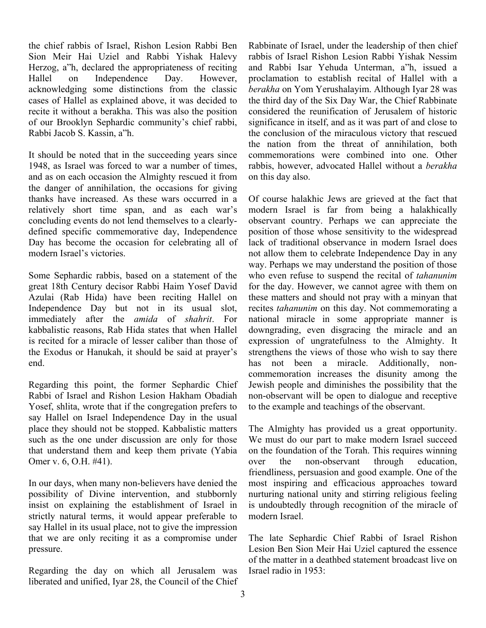the chief rabbis of Israel, Rishon Lesion Rabbi Ben Sion Meir Hai Uziel and Rabbi Yishak Halevy Herzog, a"h, declared the appropriateness of reciting Hallel on Independence Day. However, acknowledging some distinctions from the classic cases of Hallel as explained above, it was decided to recite it without a berakha. This was also the position of our Brooklyn Sephardic community's chief rabbi, Rabbi Jacob S. Kassin, a"h.

It should be noted that in the succeeding years since 1948, as Israel was forced to war a number of times, and as on each occasion the Almighty rescued it from the danger of annihilation, the occasions for giving thanks have increased. As these wars occurred in a relatively short time span, and as each war's concluding events do not lend themselves to a clearlydefined specific commemorative day, Independence Day has become the occasion for celebrating all of modern Israel's victories.

Some Sephardic rabbis, based on a statement of the great 18th Century decisor Rabbi Haim Yosef David Azulai (Rab Hida) have been reciting Hallel on Independence Day but not in its usual slot, immediately after the *amida* of *shahrit*. For kabbalistic reasons, Rab Hida states that when Hallel is recited for a miracle of lesser caliber than those of the Exodus or Hanukah, it should be said at prayer's end.

Regarding this point, the former Sephardic Chief Rabbi of Israel and Rishon Lesion Hakham Obadiah Yosef, shlita, wrote that if the congregation prefers to say Hallel on Israel Independence Day in the usual place they should not be stopped. Kabbalistic matters such as the one under discussion are only for those that understand them and keep them private (Yabia Omer v. 6, O.H. #41).

In our days, when many non-believers have denied the possibility of Divine intervention, and stubbornly insist on explaining the establishment of Israel in strictly natural terms, it would appear preferable to say Hallel in its usual place, not to give the impression that we are only reciting it as a compromise under pressure.

Regarding the day on which all Jerusalem was liberated and unified, Iyar 28, the Council of the Chief Rabbinate of Israel, under the leadership of then chief rabbis of Israel Rishon Lesion Rabbi Yishak Nessim and Rabbi Isar Yehuda Unterman, a"h, issued a proclamation to establish recital of Hallel with a *berakha* on Yom Yerushalayim. Although Iyar 28 was the third day of the Six Day War, the Chief Rabbinate considered the reunification of Jerusalem of historic significance in itself, and as it was part of and close to the conclusion of the miraculous victory that rescued the nation from the threat of annihilation, both commemorations were combined into one. Other rabbis, however, advocated Hallel without a *berakha* on this day also.

Of course halakhic Jews are grieved at the fact that modern Israel is far from being a halakhically observant country. Perhaps we can appreciate the position of those whose sensitivity to the widespread lack of traditional observance in modern Israel does not allow them to celebrate Independence Day in any way. Perhaps we may understand the position of those who even refuse to suspend the recital of *tahanunim* for the day. However, we cannot agree with them on these matters and should not pray with a minyan that recites *tahanunim* on this day. Not commemorating a national miracle in some appropriate manner is downgrading, even disgracing the miracle and an expression of ungratefulness to the Almighty. It strengthens the views of those who wish to say there has not been a miracle. Additionally, noncommemoration increases the disunity among the Jewish people and diminishes the possibility that the non-observant will be open to dialogue and receptive to the example and teachings of the observant.

The Almighty has provided us a great opportunity. We must do our part to make modern Israel succeed on the foundation of the Torah. This requires winning over the non-observant through education, friendliness, persuasion and good example. One of the most inspiring and efficacious approaches toward nurturing national unity and stirring religious feeling is undoubtedly through recognition of the miracle of modern Israel.

The late Sephardic Chief Rabbi of Israel Rishon Lesion Ben Sion Meir Hai Uziel captured the essence of the matter in a deathbed statement broadcast live on Israel radio in 1953: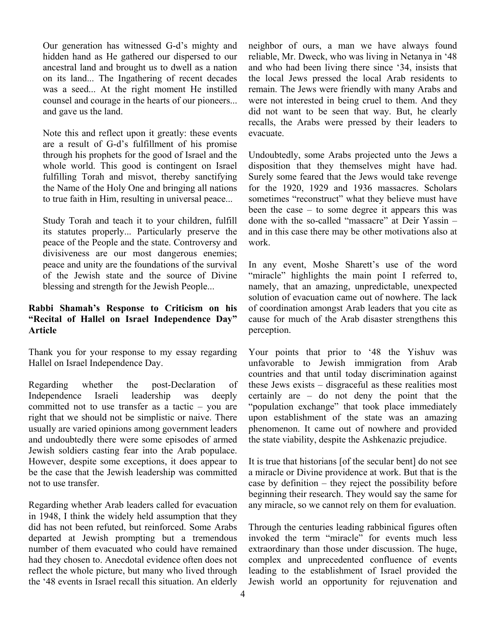Our generation has witnessed G-d's mighty and hidden hand as He gathered our dispersed to our ancestral land and brought us to dwell as a nation on its land... The Ingathering of recent decades was a seed... At the right moment He instilled counsel and courage in the hearts of our pioneers... and gave us the land.

Note this and reflect upon it greatly: these events are a result of G-d's fulfillment of his promise through his prophets for the good of Israel and the whole world. This good is contingent on Israel fulfilling Torah and misvot, thereby sanctifying the Name of the Holy One and bringing all nations to true faith in Him, resulting in universal peace...

Study Torah and teach it to your children, fulfill its statutes properly... Particularly preserve the peace of the People and the state. Controversy and divisiveness are our most dangerous enemies; peace and unity are the foundations of the survival of the Jewish state and the source of Divine blessing and strength for the Jewish People...

## **Rabbi Shamah's Response to Criticism on his "Recital of Hallel on Israel Independence Day" Article**

Thank you for your response to my essay regarding Hallel on Israel Independence Day.

Regarding whether the post-Declaration of Independence Israeli leadership was deeply committed not to use transfer as a tactic – you are right that we should not be simplistic or naive. There usually are varied opinions among government leaders and undoubtedly there were some episodes of armed Jewish soldiers casting fear into the Arab populace. However, despite some exceptions, it does appear to be the case that the Jewish leadership was committed not to use transfer.

Regarding whether Arab leaders called for evacuation in 1948, I think the widely held assumption that they did has not been refuted, but reinforced. Some Arabs departed at Jewish prompting but a tremendous number of them evacuated who could have remained had they chosen to. Anecdotal evidence often does not reflect the whole picture, but many who lived through the '48 events in Israel recall this situation. An elderly neighbor of ours, a man we have always found reliable, Mr. Dweck, who was living in Netanya in '48 and who had been living there since '34, insists that the local Jews pressed the local Arab residents to remain. The Jews were friendly with many Arabs and were not interested in being cruel to them. And they did not want to be seen that way. But, he clearly recalls, the Arabs were pressed by their leaders to evacuate.

Undoubtedly, some Arabs projected unto the Jews a disposition that they themselves might have had. Surely some feared that the Jews would take revenge for the 1920, 1929 and 1936 massacres. Scholars sometimes "reconstruct" what they believe must have been the case – to some degree it appears this was done with the so-called "massacre" at Deir Yassin – and in this case there may be other motivations also at work.

In any event, Moshe Sharett's use of the word "miracle" highlights the main point I referred to, namely, that an amazing, unpredictable, unexpected solution of evacuation came out of nowhere. The lack of coordination amongst Arab leaders that you cite as cause for much of the Arab disaster strengthens this perception.

Your points that prior to '48 the Yishuv was unfavorable to Jewish immigration from Arab countries and that until today discrimination against these Jews exists – disgraceful as these realities most certainly are – do not deny the point that the "population exchange" that took place immediately upon establishment of the state was an amazing phenomenon. It came out of nowhere and provided the state viability, despite the Ashkenazic prejudice.

It is true that historians [of the secular bent] do not see a miracle or Divine providence at work. But that is the case by definition – they reject the possibility before beginning their research. They would say the same for any miracle, so we cannot rely on them for evaluation.

Through the centuries leading rabbinical figures often invoked the term "miracle" for events much less extraordinary than those under discussion. The huge, complex and unprecedented confluence of events leading to the establishment of Israel provided the Jewish world an opportunity for rejuvenation and